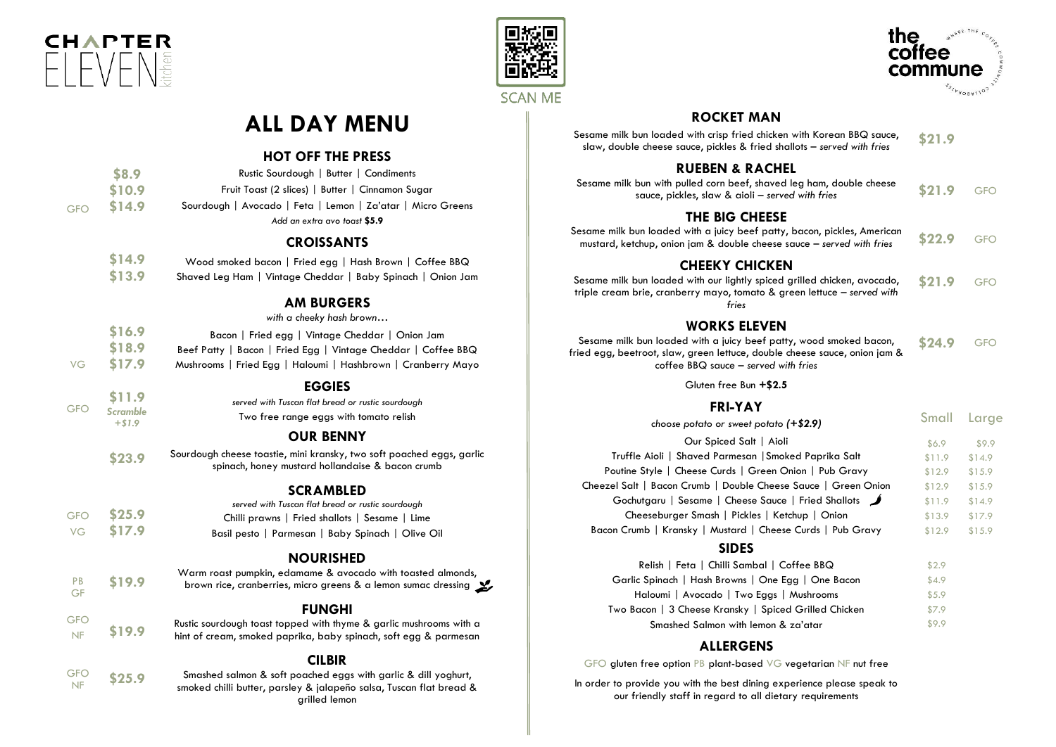

PB GF





Small Corp.

# **ALL DAY MENU**

#### **HOT OFF THE PRESS**

|            | \$8.9  | Rustic Sourdough   Butter   Condiments                      |
|------------|--------|-------------------------------------------------------------|
|            | \$10.9 | Fruit Toast (2 slices)   Butter   Cinnamon Sugar            |
| <b>GFO</b> | \$14.9 | Sourdough   Avocado   Feta   Lemon   Za'atar   Micro Greens |
|            |        | Add an extra avo toast \$5.9                                |
|            |        |                                                             |

#### **CROISSANTS**

| \$14.9 | Wood smoked bacon   Fried egg   Hash Brown   Coffee BBQ     |
|--------|-------------------------------------------------------------|
| \$13.9 | Shaved Leg Ham   Vintage Cheddar   Baby Spinach   Onion Jam |

#### **AM BURGERS**

*with a cheeky hash brown…*

|    | \$16.9 | Bacon   Fried egg   Vintage Cheddar   Onion Jam               |  |
|----|--------|---------------------------------------------------------------|--|
|    | \$18.9 | Beef Patty   Bacon   Fried Egg   Vintage Cheddar   Coffee BBQ |  |
| VG | \$17.9 | Mushrooms   Fried Egg   Haloumi   Hashbrown   Cranberry Mayo  |  |

#### **EGGIES**

|            |                      | -------                                           |
|------------|----------------------|---------------------------------------------------|
| <b>GFO</b> | \$11.9               | served with Tuscan flat bread or rustic sourdough |
|            | Scramble<br>$+ $1.9$ | Two free range eggs with tomato relish            |

#### **OUR BENNY**

**\$23.9** Sourdough cheese toastie, mini kransky, two soft poached eggs, garlic spinach, honey mustard hollandaise & bacon crumb

#### **SCRAMBLED**

|            |        | served with Tuscan flat bread or rustic sourdough |  |  |  |
|------------|--------|---------------------------------------------------|--|--|--|
| <b>GFO</b> | \$25.9 | Chilli prawns   Fried shallots   Sesame   Lime    |  |  |  |
| VG.        | \$17.9 | Basil pesto   Parmesan   Baby Spinach   Olive Oil |  |  |  |

#### **NOURISHED**

**\$19.9** Warm roast pumpkin, edamame & avocado with toasted almonds, brown rice, cranberries, micro greens & a lemon sumac dressing

## **FUNGHI**

**GFO** NF **\$19.9** Rustic sourdough toast topped with thyme & garlic mushrooms with a hint of cream, smoked paprika, baby spinach, soft egg & parmesan

# **CILBIR**

GFO  $\frac{GFO}{NF}$  \$25.9 Smashed salmon & soft poached eggs with garlic & dill yoghurt, smoked chilli butter, parsley & jalapeño salsa, Tuscan flat bread & grilled lemon

#### **ROCKET MAN**

| Sesame milk bun loaded with crisp fried chicken with Korean BBQ sauce,  | \$21.9 |
|-------------------------------------------------------------------------|--------|
| slaw, double cheese sauce, pickles & fried shallots – served with fries |        |

# **RUEBEN & RACHEL**

| Sesame milk bun with pulled corn beef, shaved leg ham, double cheese |        |            |
|----------------------------------------------------------------------|--------|------------|
| sauce, pickles, slaw & aioli – served with fries                     | \$21.9 | <b>GFO</b> |

## **THE BIG CHEESE**

| Sesame milk bun loaded with a juicy beef patty, bacon, pickles, American | \$22.9 |            |
|--------------------------------------------------------------------------|--------|------------|
| mustard, ketchup, onion jam & double cheese sauce – served with fries    |        | <b>GFO</b> |

# **CHEEKY CHICKEN**

Sesame milk bun loaded with our lightly spiced grilled chicken, avocado, triple cream brie, cranberry mayo, tomato & green lettuce – *served with fries* **\$21.9** GFO

## **WORKS ELEVEN**

Sesame milk bun loaded with a juicy beef patty, wood smoked bacon, fried egg, beetroot, slaw, green lettuce, double cheese sauce, onion jam & coffee BBQ sauce – *served with fries* **\$24.9** GFO

Gluten free Bun **+\$2.5**

#### **FRI-YAY**

| choose potato or sweet potato $(+\$2.9)$                       | Small  | Large  |
|----------------------------------------------------------------|--------|--------|
| Our Spiced Salt   Aioli                                        | \$6.9  | \$9.9  |
| Truffle Aioli   Shaved Parmesan   Smoked Paprika Salt          | \$11.9 | \$14.9 |
| Poutine Style   Cheese Curds   Green Onion   Pub Gravy         | \$12.9 | \$15.9 |
| Cheezel Salt   Bacon Crumb   Double Cheese Sauce   Green Onion | \$12.9 | \$15.9 |
| Gochutgaru   Sesame   Cheese Sauce   Fried Shallots            | \$11.9 | \$14.9 |
| Cheeseburger Smash   Pickles   Ketchup   Onion                 | \$13.9 | \$17.9 |
| Bacon Crumb   Kransky   Mustard   Cheese Curds   Pub Gravy     | \$12.9 | \$15.9 |
|                                                                |        |        |

## **SIDES**

| Relish   Feta   Chilli Sambal   Coffee BBQ            | \$2.9 |
|-------------------------------------------------------|-------|
| Garlic Spinach   Hash Browns   One Egg   One Bacon    | \$4.9 |
| Haloumi   Avocado   Two Eggs   Mushrooms              | \$5.9 |
| Two Bacon   3 Cheese Kransky   Spiced Grilled Chicken | \$7.9 |
| Smashed Salmon with lemon & za'atar                   | \$9.9 |

## **ALLERGENS**

GFO gluten free option PB plant-based VG vegetarian NF nut free

In order to provide you with the best dining experience please speak to our friendly staff in regard to all dietary requirements